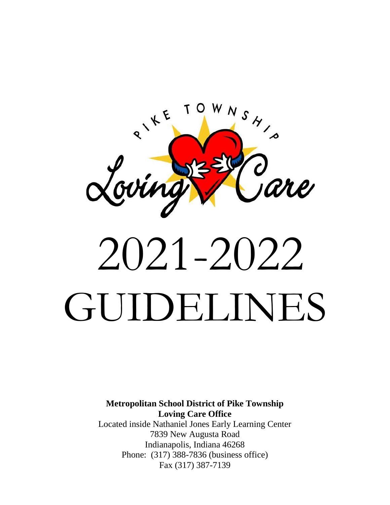

# 2021-2022 GUIDELINES

**Metropolitan School District of Pike Township Loving Care Office**

Located inside Nathaniel Jones Early Learning Center 7839 New Augusta Road Indianapolis, Indiana 46268 Phone: (317) 388-7836 (business office) Fax (317) 387-7139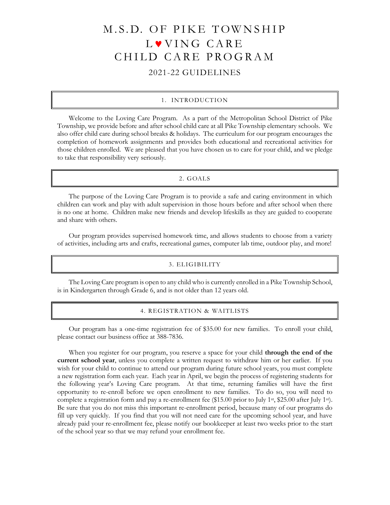# M.S.D. OF PIKE TOWNSHIP L VING CARE CHILD CARE PROGRAM 2021-22 GUIDELINES

#### 1. INTRODUCTION

Welcome to the Loving Care Program. As a part of the Metropolitan School District of Pike Township, we provide before and after school child care at all Pike Township elementary schools. We also offer child care during school breaks & holidays. The curriculum for our program encourages the completion of homework assignments and provides both educational and recreational activities for those children enrolled. We are pleased that you have chosen us to care for your child, and we pledge to take that responsibility very seriously.

#### 2. GOALS

The purpose of the Loving Care Program is to provide a safe and caring environment in which children can work and play with adult supervision in those hours before and after school when there is no one at home. Children make new friends and develop lifeskills as they are guided to cooperate and share with others.

Our program provides supervised homework time, and allows students to choose from a variety of activities, including arts and crafts, recreational games, computer lab time, outdoor play, and more!

#### 3. ELIGIBILITY

The Loving Care program is open to any child who is currently enrolled in a Pike Township School, is in Kindergarten through Grade 6, and is not older than 12 years old.

#### 4. REGISTRATION & WAITLISTS

Our program has a one-time registration fee of \$35.00 for new families. To enroll your child, please contact our business office at 388-7836.

When you register for our program, you reserve a space for your child **through the end of the current school year**, unless you complete a written request to withdraw him or her earlier. If you wish for your child to continue to attend our program during future school years, you must complete a new registration form each year. Each year in April, we begin the process of registering students for the following year's Loving Care program. At that time, returning families will have the first opportunity to re-enroll before we open enrollment to new families. To do so, you will need to complete a registration form and pay a re-enrollment fee (\$15.00 prior to July 1<sup>st</sup>, \$25.00 after July 1<sup>st</sup>). Be sure that you do not miss this important re-enrollment period, because many of our programs do fill up very quickly. If you find that you will not need care for the upcoming school year, and have already paid your re-enrollment fee, please notify our bookkeeper at least two weeks prior to the start of the school year so that we may refund your enrollment fee.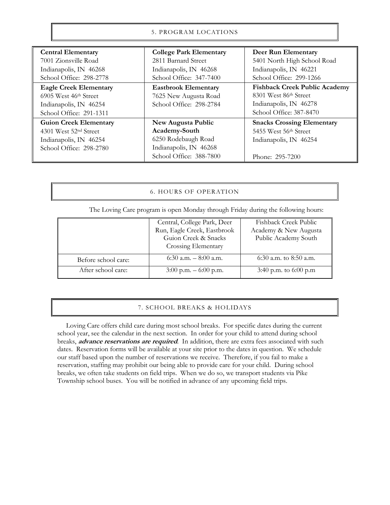# 5. PROGRAM LOCATIONS

| <b>Central Elementary</b>         | <b>College Park Elementary</b> | Deer Run Elementary                  |
|-----------------------------------|--------------------------------|--------------------------------------|
| 7001 Zionsville Road              | 2811 Barnard Street            | 5401 North High School Road          |
| Indianapolis, IN 46268            | Indianapolis, IN 46268         | Indianapolis, IN 46221               |
| School Office: 298-2778           | School Office: 347-7400        | School Office: 299-1266              |
| <b>Eagle Creek Elementary</b>     | <b>Eastbrook Elementary</b>    | <b>Fishback Creek Public Academy</b> |
| 6905 West 46th Street             | 7625 New Augusta Road          | 8301 West 86th Street                |
| Indianapolis, IN 46254            | School Office: 298-2784        | Indianapolis, IN 46278               |
| School Office: 291-1311           |                                | School Office: 387-8470              |
| <b>Guion Creek Elementary</b>     | New Augusta Public             | <b>Snacks Crossing Elementary</b>    |
| 4301 West 52 <sup>nd</sup> Street | Academy-South                  | 5455 West 56th Street                |
| Indianapolis, IN 46254            | 6250 Rodebaugh Road            | Indianapolis, IN 46254               |
| School Office: 298-2780           | Indianapolis, IN 46268         |                                      |
|                                   | School Office: 388-7800        | Phone: 295-7200                      |

# 6. HOURS OF OPERATION

The Loving Care program is open Monday through Friday during the following hours:

|                     | Central, College Park, Deer | Fishback Creek Public   |
|---------------------|-----------------------------|-------------------------|
|                     | Run, Eagle Creek, Eastbrook | Academy & New Augusta   |
|                     | Guion Creek & Snacks        | Public Academy South    |
|                     | Crossing Elementary         |                         |
| Before school care: | 6:30 a.m. $-8:00$ a.m.      | 6:30 a.m. to 8:50 a.m.  |
| After school care:  | $3:00$ p.m. $-6:00$ p.m.    | 3:40 p.m. to $6:00$ p.m |

#### 7. SCHOOL BREAKS & HOLIDAYS

 Loving Care offers child care during most school breaks. For specific dates during the current school year, see the calendar in the next section. In order for your child to attend during school breaks, **advance reservations are required**. In addition, there are extra fees associated with such dates. Reservation forms will be available at your site prior to the dates in question. We schedule our staff based upon the number of reservations we receive. Therefore, if you fail to make a reservation, staffing may prohibit our being able to provide care for your child. During school breaks, we often take students on field trips. When we do so, we transport students via Pike Township school buses. You will be notified in advance of any upcoming field trips.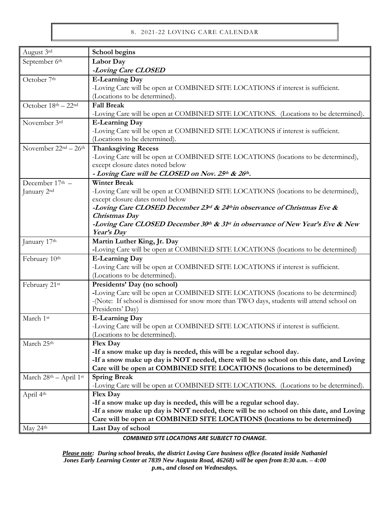# 8. 2021-22 LOVING CARE CALENDAR

| August 3rd             | School begins                                                                                                    |  |  |
|------------------------|------------------------------------------------------------------------------------------------------------------|--|--|
| September 6th          | Labor Day                                                                                                        |  |  |
|                        | -Loving Care CLOSED                                                                                              |  |  |
| October 7th            | <b>E-Learning Day</b>                                                                                            |  |  |
|                        | -Loving Care will be open at COMBINED SITE LOCATIONS if interest is sufficient.                                  |  |  |
|                        | (Locations to be determined).                                                                                    |  |  |
| October 18th - 22nd    | <b>Fall Break</b>                                                                                                |  |  |
|                        | -Loving Care will be open at COMBINED SITE LOCATIONS. (Locations to be determined).                              |  |  |
| November 3rd           | <b>E-Learning Day</b>                                                                                            |  |  |
|                        | -Loving Care will be open at COMBINED SITE LOCATIONS if interest is sufficient.                                  |  |  |
|                        | (Locations to be determined).                                                                                    |  |  |
| November $22nd - 26th$ | <b>Thanksgiving Recess</b>                                                                                       |  |  |
|                        | -Loving Care will be open at COMBINED SITE LOCATIONS (locations to be determined),                               |  |  |
|                        | except closure dates noted below                                                                                 |  |  |
|                        | - Loving Care will be CLOSED on Nov. 25th & 26th.                                                                |  |  |
| December 17th -        | <b>Winter Break</b>                                                                                              |  |  |
| January 2nd            | -Loving Care will be open at COMBINED SITE LOCATIONS (locations to be determined),                               |  |  |
|                        | except closure dates noted below                                                                                 |  |  |
|                        | -Loving Care CLOSED December 23rd & 24thin observance of Christmas Eve &                                         |  |  |
|                        | Christmas Day                                                                                                    |  |  |
|                        | -Loving Care CLOSED December 30th & 31st in observance of New Year's Eve & New                                   |  |  |
|                        | Year's Day                                                                                                       |  |  |
| January 17th           | Martin Luther King, Jr. Day                                                                                      |  |  |
|                        | -Loving Care will be open at COMBINED SITE LOCATIONS (locations to be determined)                                |  |  |
| February 10th          | <b>E-Learning Day</b>                                                                                            |  |  |
|                        | -Loving Care will be open at COMBINED SITE LOCATIONS if interest is sufficient.                                  |  |  |
|                        | (Locations to be determined).                                                                                    |  |  |
| February 21st          | Presidents' Day (no school)<br>-Loving Care will be open at COMBINED SITE LOCATIONS (locations to be determined) |  |  |
|                        | -(Note: If school is dismissed for snow more than TWO days, students will attend school on                       |  |  |
|                        | Presidents' Day)                                                                                                 |  |  |
| March 1st              | <b>E-Learning Day</b>                                                                                            |  |  |
|                        | -Loving Care will be open at COMBINED SITE LOCATIONS if interest is sufficient.                                  |  |  |
|                        | (Locations to be determined).                                                                                    |  |  |
| March 25th             | <b>Flex Day</b>                                                                                                  |  |  |
|                        | -If a snow make up day is needed, this will be a regular school day.                                             |  |  |
|                        | -If a snow make up day is NOT needed, there will be no school on this date, and Loving                           |  |  |
|                        | Care will be open at COMBINED SITE LOCATIONS (locations to be determined)                                        |  |  |
| March 28th - April 1st | <b>Spring Break</b>                                                                                              |  |  |
|                        | -Loving Care will be open at COMBINED SITE LOCATIONS. (Locations to be determined).                              |  |  |
| April 4th              | Flex Day                                                                                                         |  |  |
|                        | -If a snow make up day is needed, this will be a regular school day.                                             |  |  |
|                        | -If a snow make up day is NOT needed, there will be no school on this date, and Loving                           |  |  |
|                        | Care will be open at COMBINED SITE LOCATIONS (locations to be determined)                                        |  |  |
| May 24th               | Last Day of school                                                                                               |  |  |

*COMBINED SITE LOCATIONS ARE SUBJECT TO CHANGE.*

*Please note: During school breaks, the district Loving Care business office (located inside Nathaniel Jones Early Learning Center at 7839 New Augusta Road, 46268) will be open from 8:30 a.m. – 4:00 p.m., and closed on Wednesdays.*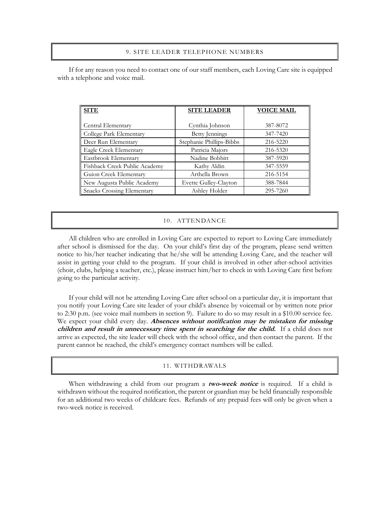#### 9. SITE LEADER TELEPHONE NUMBERS

If for any reason you need to contact one of our staff members, each Loving Care site is equipped with a telephone and voice mail.

| <b>SITE</b>                       | <b>SITE LEADER</b>       | <b>VOICE MAIL</b> |
|-----------------------------------|--------------------------|-------------------|
|                                   |                          |                   |
| Central Elementary                | Cynthia Johnson          | 387-8072          |
| College Park Elementary           | Betty Jennings           | 347-7420          |
| Deer Run Elementary               | Stephanie Phillips-Bibbs | 216-5220          |
| Eagle Creek Elementary            | Patricia Majors          | 216-5320          |
| Eastbrook Elementary              | Nadine Bobbitt           | 387-5920          |
| Fishback Creek Public Academy     | Kathy Aldin              | 347-5559          |
| Guion Creek Elementary            | Arthella Brown           | 216-5154          |
| New Augusta Public Academy        | Evette Gulley-Clayton    | 388-7844          |
| <b>Snacks Crossing Elementary</b> | Ashley Holder            | 295-7260          |

#### 10. ATTENDANCE

All children who are enrolled in Loving Care are expected to report to Loving Care immediately after school is dismissed for the day. On your child's first day of the program, please send written notice to his/her teacher indicating that he/she will be attending Loving Care, and the teacher will assist in getting your child to the program. If your child is involved in other after-school activities (choir, clubs, helping a teacher, etc.), please instruct him/her to check in with Loving Care first before going to the particular activity.

If your child will not be attending Loving Care after school on a particular day, it is important that you notify your Loving Care site leader of your child's absence by voicemail or by written note prior to 2:30 p.m. (see voice mail numbers in section 9). Failure to do so may result in a \$10.00 service fee. We expect your child every day. **Absences without notification may be mistaken for missing children and result in unnecessary time spent in searching for the child.** If a child does not arrive as expected, the site leader will check with the school office, and then contact the parent. If the parent cannot be reached, the child's emergency contact numbers will be called.

#### 11. WITHDRAWALS

When withdrawing a child from our program a **two-week notice** is required. If a child is withdrawn without the required notification, the parent or guardian may be held financially responsible for an additional two weeks of childcare fees. Refunds of any prepaid fees will only be given when a two-week notice is received.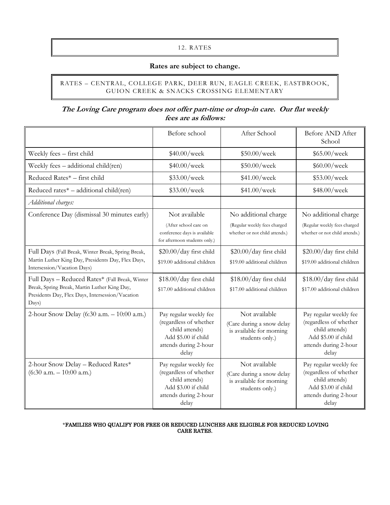# 12. RATES

# **Rates are subject to change.**

# RATES – CENTRAL, COLLEGE PARK, DEER RUN, EAGLE CREEK, EASTBROOK, GUION CREEK & SNACKS CROSSING ELEMENTARY

# **The Loving Care program does not offer part-time or drop-in care. Our flat weekly fees are as follows:**

|                                                                                                                                                             | Before school                                                                                                               | After School                                                                              | Before AND After<br>School                                                                                                  |
|-------------------------------------------------------------------------------------------------------------------------------------------------------------|-----------------------------------------------------------------------------------------------------------------------------|-------------------------------------------------------------------------------------------|-----------------------------------------------------------------------------------------------------------------------------|
| Weekly fees - first child                                                                                                                                   | \$40.00/week                                                                                                                | \$50.00/week                                                                              | \$65.00/week                                                                                                                |
| Weekly fees - additional child(ren)                                                                                                                         | \$40.00/week                                                                                                                | \$50.00/week                                                                              | \$60.00/week                                                                                                                |
| Reduced Rates* - first child                                                                                                                                | \$33.00/week                                                                                                                | \$41.00/week                                                                              | \$53.00/week                                                                                                                |
| Reduced rates* - additional child(ren)                                                                                                                      | \$33.00/week                                                                                                                | \$41.00/week                                                                              | \$48.00/week                                                                                                                |
| Additional charges:                                                                                                                                         |                                                                                                                             |                                                                                           |                                                                                                                             |
| Conference Day (dismissal 30 minutes early)                                                                                                                 | Not available<br>(After school care on<br>conference days is available<br>for afternoon students only.)                     | No additional charge<br>(Regular weekly fees charged<br>whether or not child attends.)    | No additional charge<br>(Regular weekly fees charged<br>whether or not child attends.)                                      |
| Full Days (Fall Break, Winter Break, Spring Break,<br>Martin Luther King Day, Presidents Day, Flex Days,<br>Intersession/Vacation Days)                     | \$20.00/day first child<br>\$19.00 additional children                                                                      | \$20.00/day first child<br>\$19.00 additional children                                    | \$20.00/day first child<br>\$19.00 additional children                                                                      |
| Full Days - Reduced Rates* (Fall Break, Winter<br>Break, Spring Break, Martin Luther King Day,<br>Presidents Day, Flex Days, Intersession/Vacation<br>Days) | \$18.00/day first child<br>\$17.00 additional children                                                                      | \$18.00/day first child<br>\$17.00 additional children                                    | \$18.00/day first child<br>\$17.00 additional children                                                                      |
| 2-hour Snow Delay (6:30 a.m. - 10:00 a.m.)                                                                                                                  | Pay regular weekly fee<br>(regardless of whether<br>child attends)<br>Add \$5.00 if child<br>attends during 2-hour<br>delay | Not available<br>(Care during a snow delay<br>is available for morning<br>students only.) | Pay regular weekly fee<br>(regardless of whether<br>child attends)<br>Add \$5.00 if child<br>attends during 2-hour<br>delay |
| 2-hour Snow Delay - Reduced Rates*<br>$(6:30$ a.m. $-10:00$ a.m.)                                                                                           | Pay regular weekly fee<br>(regardless of whether<br>child attends)<br>Add \$3.00 if child<br>attends during 2-hour<br>delay | Not available<br>(Care during a snow delay<br>is available for morning<br>students only.) | Pay regular weekly fee<br>(regardless of whether<br>child attends)<br>Add \$3.00 if child<br>attends during 2-hour<br>delay |

#### \*FAMILIES WHO QUALIFY FOR FREE OR REDUCED LUNCHES ARE ELIGIBLE FOR REDUCED LOVING CARE RATES.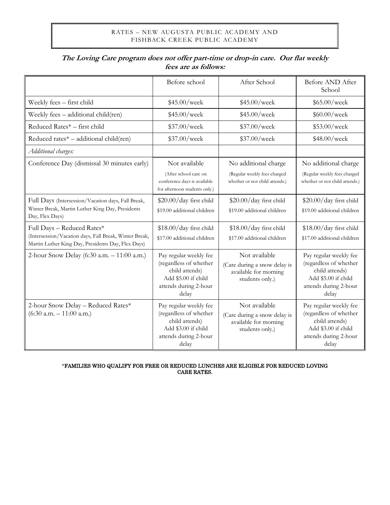# RATES – NEW AUGUSTA PUBLIC ACADEMY AND FISHBACK CREEK PUBLIC ACADEMY

|                                                                                                              | Before school                                                                                                               | After School                                                                              | Before AND After<br>School                                                                                                  |
|--------------------------------------------------------------------------------------------------------------|-----------------------------------------------------------------------------------------------------------------------------|-------------------------------------------------------------------------------------------|-----------------------------------------------------------------------------------------------------------------------------|
| Weekly fees - first child                                                                                    | \$45.00/week                                                                                                                | \$45.00/week                                                                              | \$65.00/week                                                                                                                |
| Weekly fees - additional child(ren)                                                                          | \$45.00/week                                                                                                                | \$45.00/week                                                                              | \$60.00/week                                                                                                                |
| Reduced Rates* - first child                                                                                 | \$37.00/week                                                                                                                | \$37.00/week                                                                              | \$53.00/week                                                                                                                |
| Reduced rates* - additional child(ren)                                                                       | \$37.00/week                                                                                                                | \$37.00/week                                                                              | \$48.00/week                                                                                                                |
| Additional charges:                                                                                          |                                                                                                                             |                                                                                           |                                                                                                                             |
| Conference Day (dismissal 30 minutes early)                                                                  | Not available                                                                                                               | No additional charge                                                                      | No additional charge                                                                                                        |
|                                                                                                              | (After school care on<br>conference days is available<br>for afternoon students only.)                                      | (Regular weekly fees charged<br>whether or not child attends.)                            | (Regular weekly fees charged<br>whether or not child attends.)                                                              |
| Full Days (Intersession/Vacation days, Fall Break,                                                           | \$20.00/day first child                                                                                                     | \$20.00/day first child                                                                   | \$20.00/day first child                                                                                                     |
| Winter Break, Martin Luther King Day, Presidents<br>Day, Flex Days)                                          | \$19.00 additional children                                                                                                 | \$19.00 additional children                                                               | \$19.00 additional children                                                                                                 |
| Full Days - Reduced Rates*                                                                                   | \$18.00/day first child                                                                                                     | \$18.00/day first child                                                                   | \$18.00/day first child                                                                                                     |
| (Intersession/Vacation days, Fall Break, Winter Break,<br>Martin Luther King Day, Presidents Day, Flex Days) | \$17.00 additional children                                                                                                 | \$17.00 additional children                                                               | \$17.00 additional children                                                                                                 |
| 2-hour Snow Delay (6:30 a.m. - 11:00 a.m.)                                                                   | Pay regular weekly fee<br>(regardless of whether<br>child attends)<br>Add \$5.00 if child<br>attends during 2-hour<br>delay | Not available<br>(Care during a snow delay is<br>available for morning<br>students only.) | Pay regular weekly fee<br>(regardless of whether<br>child attends)<br>Add \$5.00 if child<br>attends during 2-hour<br>delay |
| 2-hour Snow Delay - Reduced Rates*<br>$(6:30$ a.m. $- 11:00$ a.m.)                                           | Pay regular weekly fee<br>(regardless of whether<br>child attends)<br>Add \$3.00 if child<br>attends during 2-hour<br>delay | Not available<br>(Care during a snow delay is<br>available for morning<br>students only.) | Pay regular weekly fee<br>(regardless of whether<br>child attends)<br>Add \$3.00 if child<br>attends during 2-hour<br>delay |

# **The Loving Care program does not offer part-time or drop-in care. Our flat weekly fees are as follows:**

\*FAMILIES WHO QUALIFY FOR FREE OR REDUCED LUNCHES ARE ELIGIBLE FOR REDUCED LOVING CARE RATES.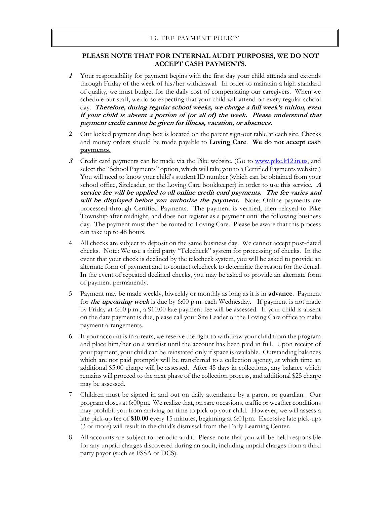#### 13. FEE PAYMENT POLICY

# **PLEASE NOTE THAT FOR INTERNAL AUDIT PURPOSES, WE DO NOT ACCEPT CASH PAYMENTS.**

- **1** Your responsibility for payment begins with the first day your child attends and extends through Friday of the week of his/her withdrawal. In order to maintain a high standard of quality, we must budget for the daily cost of compensating our caregivers. When we schedule our staff, we do so expecting that your child will attend on every regular school day. **Therefore, during regular school weeks, we charge a full week's tuition, even if your child is absent a portion of (or all of) the week. Please understand that payment credit cannot be given for illness, vacation, or absences.**
- **2** Our locked payment drop box is located on the parent sign-out table at each site. Checks and money orders should be made payable to **Loving Care**. **We do not accept cash payments.**
- **3** Credit card payments can be made via the Pike website. (Go to [www.pike.k12.in.us,](http://www.pike.k12.in.us/) and select the "School Payments" option, which will take you to a Certified Payments website.) You will need to know your child's student ID number (which can be obtained from your school office, Siteleader, or the Loving Care bookkeeper) in order to use this service. **<sup>A</sup> service fee will be applied to all online credit card payments. The fee varies and will be displayed before you authorize the payment.** Note: Online payments are processed through Certified Payments. The payment is verified, then relayed to Pike Township after midnight, and does not register as a payment until the following business day. The payment must then be routed to Loving Care. Please be aware that this process can take up to 48 hours.
- 4 All checks are subject to deposit on the same business day. We cannot accept post-dated checks. Note: We use a third party "Telecheck" system for processing of checks. In the event that your check is declined by the telecheck system, you will be asked to provide an alternate form of payment and to contact telecheck to determine the reason for the denial. In the event of repeated declined checks, you may be asked to provide an alternate form of payment permanently.
- 5 Payment may be made weekly, biweekly or monthly as long as it is in **advance**. Payment for **the upcoming week** is due by 6:00 p.m. each Wednesday. If payment is not made by Friday at 6:00 p.m., a \$10.00 late payment fee will be assessed. If your child is absent on the date payment is due, please call your Site Leader or the Loving Care office to make payment arrangements.
- 6 If your account is in arrears, we reserve the right to withdraw your child from the program and place him/her on a waitlist until the account has been paid in full. Upon receipt of your payment, your child can be reinstated only if space is available. Outstanding balances which are not paid promptly will be transferred to a collection agency, at which time an additional \$5.00 charge will be assessed. After 45 days in collections, any balance which remains will proceed to the next phase of the collection process, and additional \$25 charge may be assessed.
- 7 Children must be signed in and out on daily attendance by a parent or guardian. Our program closes at 6:00pm. We realize that, on rare occasions, traffic or weather conditions may prohibit you from arriving on time to pick up your child. However, we will assess a late pick-up fee of **\$10.00** every 15 minutes, beginning at 6:01pm. Excessive late pick-ups (3 or more) will result in the child's dismissal from the Early Learning Center.
- 8 All accounts are subject to periodic audit. Please note that you will be held responsible for any unpaid charges discovered during an audit, including unpaid charges from a third party payor (such as FSSA or DCS).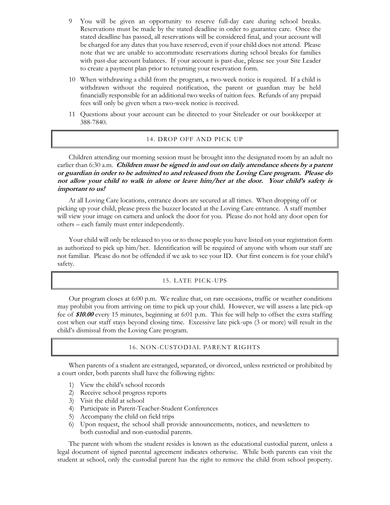- 9 You will be given an opportunity to reserve full-day care during school breaks. Reservations must be made by the stated deadline in order to guarantee care. Once the stated deadline has passed, all reservations will be considered final, and your account will be charged for any dates that you have reserved, even if your child does not attend. Please note that we are unable to accommodate reservations during school breaks for families with past-due account balances. If your account is past-due, please see your Site Leader to create a payment plan prior to returning your reservation form.
- 10 When withdrawing a child from the program, a two-week notice is required. If a child is withdrawn without the required notification, the parent or guardian may be held financially responsible for an additional two weeks of tuition fees. Refunds of any prepaid fees will only be given when a two-week notice is received.
- 11 Questions about your account can be directed to your Siteleader or our bookkeeper at 388-7840.

#### 14. DROP OFF AND PICK UP

Children attending our morning session must be brought into the designated room by an adult no earlier than 6:30 a.m. *Children must be signed in and out on daily attendance sheets by a parent* **or guardian in order to be admitted to and released from the Loving Care program. Please do not allow your child to walk in alone or leave him/her at the door. Your child's safety is important to us!**

At all Loving Care locations, entrance doors are secured at all times. When dropping off or picking up your child, please press the buzzer located at the Loving Care entrance. A staff member will view your image on camera and unlock the door for you. Please do not hold any door open for others – each family must enter independently.

Your child will only be released to you or to those people you have listed on your registration form as authorized to pick up him/her. Identification will be required of anyone with whom our staff are not familiar. Please do not be offended if we ask to see your ID. Our first concern is for your child's safety.

#### 15. LATE PICK-UPS

Our program closes at 6:00 p.m. We realize that, on rare occasions, traffic or weather conditions may prohibit you from arriving on time to pick up your child. However, we will assess a late pick-up fee of **\$10.00** every 15 minutes, beginning at 6:01 p.m. This fee will help to offset the extra staffing cost when our staff stays beyond closing time. Excessive late pick-ups (3 or more) will result in the child's dismissal from the Loving Care program.

# 16. NON-CUSTODIAL PARENT RIGHTS

When parents of a student are estranged, separated, or divorced, unless restricted or prohibited by a court order, both parents shall have the following rights:

- 1) View the child's school records
- 2) Receive school progress reports
- 3) Visit the child at school
- 4) Participate in Parent-Teacher-Student Conferences
- 5) Accompany the child on field trips
- 6) Upon request, the school shall provide announcements, notices, and newsletters to both custodial and non-custodial parents.

The parent with whom the student resides is known as the educational custodial parent, unless a legal document of signed parental agreement indicates otherwise. While both parents can visit the student at school, only the custodial parent has the right to remove the child from school property.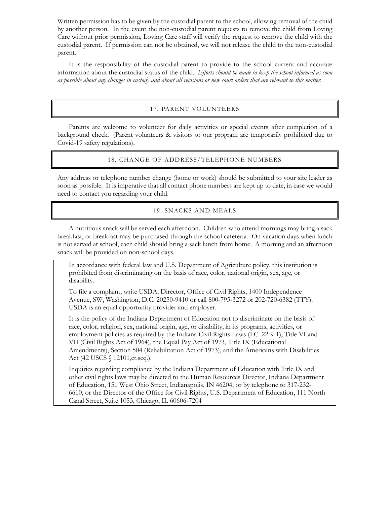Written permission has to be given by the custodial parent to the school, allowing removal of the child by another person. In the event the non-custodial parent requests to remove the child from Loving Care without prior permission, Loving Care staff will verify the request to remove the child with the custodial parent. If permission can not be obtained, we will not release the child to the non-custodial parent.

It is the responsibility of the custodial parent to provide to the school current and accurate information about the custodial status of the child. *Efforts should be made to keep the school informed as soon as possible about any changes in custody and about all revisions or new court orders that are relevant to this matter.*

# 17. PARENT VOLUNTEERS

Parents are welcome to volunteer for daily activities or special events after completion of a background check. (Parent volunteers & visitors to our program are temporarily prohibited due to Covid-19 safety regulations).

# 18. CHANGE OF ADDRESS/TELEPHONE NUMBERS

Any address or telephone number change (home or work) should be submitted to your site leader as soon as possible. It is imperative that all contact phone numbers are kept up to date, in case we would need to contact you regarding your child.

# 19. SNACKS AND MEALS

A nutritious snack will be served each afternoon. Children who attend mornings may bring a sack breakfast, or breakfast may be purchased through the school cafeteria. On vacation days when lunch is not served at school, each child should bring a sack lunch from home. A morning and an afternoon snack will be provided on non-school days.

In accordance with federal law and U.S. Department of Agriculture policy, this institution is prohibited from discriminating on the basis of race, color, national origin, sex, age, or disability.

To file a complaint, write USDA, Director, Office of Civil Rights, 1400 Independence Avenue, SW, Washington, D.C. 20250-9410 or call 800-795-3272 or 202-720-6382 (TTY). USDA is an equal opportunity provider and employer.

It is the policy of the Indiana Department of Education not to discriminate on the basis of race, color, religion, sex, national origin, age, or disability, in its programs, activities, or employment policies as required by the Indiana Civil Rights Laws (I.C. 22-9-1), Title VI and VII (Civil Rights Act of 1964), the Equal Pay Act of 1973, Title IX (Educational Amendments), Section 504 (Rehabilitation Act of 1973), and the Americans with Disabilities Act (42 USCS § 12101,et.seq.).

Inquiries regarding compliance by the Indiana Department of Education with Title IX and other civil rights laws may be directed to the Human Resources Director, Indiana Department of Education, 151 West Ohio Street, Indianapolis, IN 46204, or by telephone to 317-232- 6610, or the Director of the Office for Civil Rights, U.S. Department of Education, 111 North Canal Street, Suite 1053, Chicago, IL 60606-7204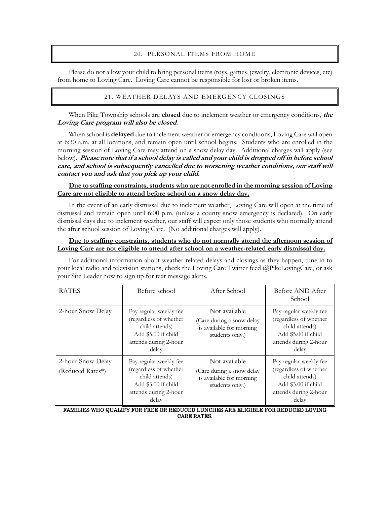# 20. PERSONAL ITEMS FROM HOME

Please do not allow your child to bring personal items (toys, games, jewelry, electronic devices, etc) from home to Loving Care. Loving Care cannot be responsible for lost or broken items.

# 21. WEATHER DELAYS AND EMERGENCY CLOSINGS

When Pike Township schools are **closed** due to inclement weather or emergency conditions, **the Loving Care program will also be closed**.

When school is **delayed** due to inclement weather or emergency conditions, Loving Care will open at 6:30 a.m. at all locations, and remain open until school begins. Students who are enrolled in the morning session of Loving Care may attend on a snow delay day. Additional charges will apply (see below). **Please note that if a school delay is called and your child is dropped off in before school care, and school is subsequently cancelled due to worsening weather conditions, our staff will contact you and ask that you pick up your child.**

# **Due to staffing constraints, students who are not enrolled in the morning session of Loving Care are not eligible to attend before school on a snow delay day.**

In the event of an early dismissal due to inclement weather, Loving Care will open at the time of dismissal and remain open until 6:00 p.m. (unless a county snow emergency is declared). On early dismissal days due to inclement weather, our staff will expect only those students who normally attend the after school session of Loving Care. (No additional charges will apply).

#### **Due to staffing constraints, students who do not normally attend the afternoon session of Loving Care are not eligible to attend after school on a weather-related early dismissal day.**

For additional information about weather related delays and closings as they happen, tune in to your local radio and television stations, check the Loving Care Twitter feed @PikeLovingCare, or ask your Site Leader how to sign up for text message alerts.

| <b>RATES</b>                          | Before school                                                                                                               | After School                                                                              | Before AND After<br>School                                                                                                  |
|---------------------------------------|-----------------------------------------------------------------------------------------------------------------------------|-------------------------------------------------------------------------------------------|-----------------------------------------------------------------------------------------------------------------------------|
| 2-hour Snow Delay                     | Pay regular weekly fee<br>(regardless of whether<br>child attends)<br>Add \$5.00 if child<br>attends during 2-hour<br>delay | Not available<br>(Care during a snow delay<br>is available for morning<br>students only.) | Pay regular weekly fee<br>(regardless of whether<br>child attends)<br>Add \$5.00 if child<br>attends during 2-hour<br>delay |
| 2-hour Snow Delay<br>(Reduced Rates*) | Pay regular weekly fee<br>(regardless of whether<br>child attends)<br>Add \$3.00 if child<br>attends during 2-hour<br>delay | Not available<br>(Care during a snow delay<br>is available for morning<br>students only.) | Pay regular weekly fee<br>(regardless of whether<br>child attends)<br>Add \$3.00 if child<br>attends during 2-hour<br>delay |

FAMILIES WHO QUALIFY FOR FREE OR REDUCED LUNCHES ARE ELIGIBLE FOR REDUCED LOVING CARE RATES.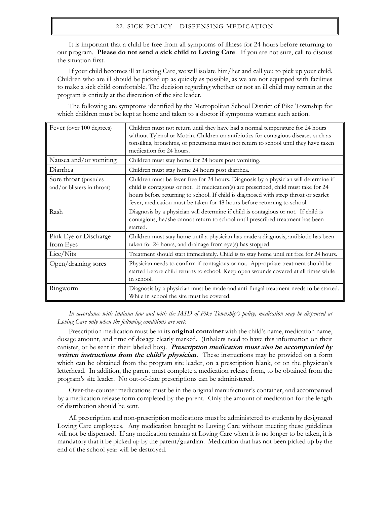#### 22. SICK POLICY - DISPENSING MEDICATION

It is important that a child be free from all symptoms of illness for 24 hours before returning to our program. **Please do not send a sick child to Loving Care**. If you are not sure, call to discuss the situation first.

If your child becomes ill at Loving Care, we will isolate him/her and call you to pick up your child. Children who are ill should be picked up as quickly as possible, as we are not equipped with facilities to make a sick child comfortable. The decision regarding whether or not an ill child may remain at the program is entirely at the discretion of the site leader.

The following are symptoms identified by the Metropolitan School District of Pike Township for which children must be kept at home and taken to a doctor if symptoms warrant such action.

| Fever (over 100 degrees)                            | Children must not return until they have had a normal temperature for 24 hours<br>without Tylenol or Motrin. Children on antibiotics for contagious diseases such as<br>tonsillitis, bronchitis, or pneumonia must not return to school until they have taken<br>medication for 24 hours.                                                       |
|-----------------------------------------------------|-------------------------------------------------------------------------------------------------------------------------------------------------------------------------------------------------------------------------------------------------------------------------------------------------------------------------------------------------|
| Nausea and/or vomiting                              | Children must stay home for 24 hours post vomiting.                                                                                                                                                                                                                                                                                             |
| Diarrhea                                            | Children must stay home 24 hours post diarrhea.                                                                                                                                                                                                                                                                                                 |
| Sore throat (pustules<br>and/or blisters in throat) | Children must be fever free for 24 hours. Diagnosis by a physician will determine if<br>child is contagious or not. If medication(s) are prescribed, child must take for 24<br>hours before returning to school. If child is diagnosed with strep throat or scarlet<br>fever, medication must be taken for 48 hours before returning to school. |
| Rash                                                | Diagnosis by a physician will determine if child is contagious or not. If child is<br>contagious, he/she cannot return to school until prescribed treatment has been<br>started.                                                                                                                                                                |
| Pink Eye or Discharge<br>from Eyes                  | Children must stay home until a physician has made a diagnosis, antibiotic has been<br>taken for 24 hours, and drainage from eye(s) has stopped.                                                                                                                                                                                                |
| Lice/Nits                                           | Treatment should start immediately. Child is to stay home until nit free for 24 hours.                                                                                                                                                                                                                                                          |
| Open/draining sores                                 | Physician needs to confirm if contagious or not. Appropriate treatment should be<br>started before child returns to school. Keep open wounds covered at all times while<br>in school.                                                                                                                                                           |
| Ringworm                                            | Diagnosis by a physician must be made and anti-fungal treatment needs to be started.<br>While in school the site must be covered.                                                                                                                                                                                                               |

*In accordance with Indiana law and with the MSD of Pike Township's policy, medication may be dispensed at Loving Care only when the following conditions are met:*

Prescription medication must be in its **original container** with the child's name, medication name, dosage amount, and time of dosage clearly marked. (Inhalers need to have this information on their canister, or be sent in their labeled box). **Prescription medication must also be accompanied by written instructions from the child's physician.** These instructions may be provided on a form which can be obtained from the program site leader, on a prescription blank, or on the physician's letterhead. In addition, the parent must complete a medication release form, to be obtained from the program's site leader. No out-of-date prescriptions can be administered.

Over-the-counter medications must be in the original manufacturer's container, and accompanied by a medication release form completed by the parent. Only the amount of medication for the length of distribution should be sent.

All prescription and non-prescription medications must be administered to students by designated Loving Care employees. Any medication brought to Loving Care without meeting these guidelines will not be dispensed. If any medication remains at Loving Care when it is no longer to be taken, it is mandatory that it be picked up by the parent/guardian. Medication that has not been picked up by the end of the school year will be destroyed.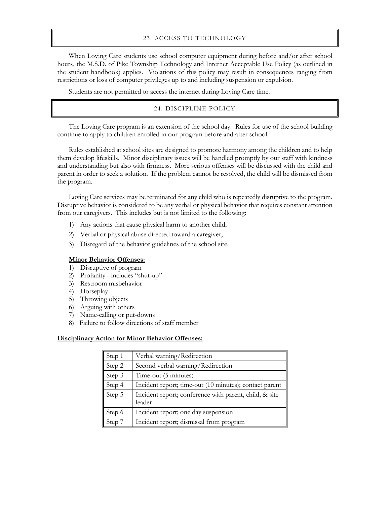#### 23. ACCESS TO TECHNOLOGY

When Loving Care students use school computer equipment during before and/or after school hours, the M.S.D. of Pike Township Technology and Internet Acceptable Use Policy (as outlined in the student handbook) applies. Violations of this policy may result in consequences ranging from restrictions or loss of computer privileges up to and including suspension or expulsion.

Students are not permitted to access the internet during Loving Care time.

# 24. DISCIPLINE POLICY

The Loving Care program is an extension of the school day. Rules for use of the school building continue to apply to children enrolled in our program before and after school.

Rules established at school sites are designed to promote harmony among the children and to help them develop lifeskills. Minor disciplinary issues will be handled promptly by our staff with kindness and understanding but also with firmness. More serious offenses will be discussed with the child and parent in order to seek a solution. If the problem cannot be resolved, the child will be dismissed from the program.

Loving Care services may be terminated for any child who is repeatedly disruptive to the program. Disruptive behavior is considered to be any verbal or physical behavior that requires constant attention from our caregivers. This includes but is not limited to the following:

- 1) Any actions that cause physical harm to another child,
- 2) Verbal or physical abuse directed toward a caregiver,
- 3) Disregard of the behavior guidelines of the school site.

# **Minor Behavior Offenses:**

- 1) Disruptive of program
- 2) Profanity includes "shut-up"
- 3) Restroom misbehavior
- 4) Horseplay
- 5) Throwing objects
- 6) Arguing with others
- 7) Name-calling or put-downs
- 8) Failure to follow directions of staff member

#### **Disciplinary Action for Minor Behavior Offenses:**

| Step 1 | Verbal warning/Redirection                                       |
|--------|------------------------------------------------------------------|
| Step 2 | Second verbal warning/Redirection                                |
| Step 3 | Time-out (5 minutes)                                             |
| Step 4 | Incident report; time-out (10 minutes); contact parent           |
| Step 5 | Incident report; conference with parent, child, & site<br>leader |
| Step 6 | Incident report; one day suspension                              |
| Step 7 | Incident report; dismissal from program                          |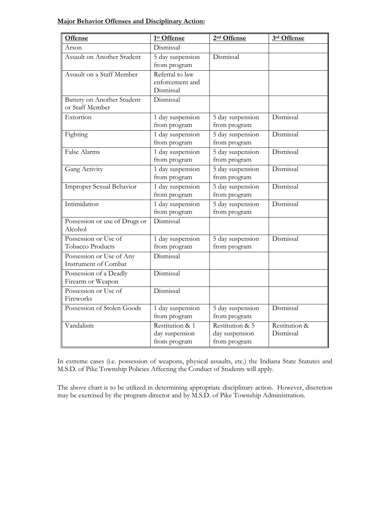# **Major Behavior Offenses and Disciplinary Action:**

| <b>Offense</b>                                          | 1st Offense                                       | 2 <sup>nd</sup> Offense                           | 3rd Offense                |
|---------------------------------------------------------|---------------------------------------------------|---------------------------------------------------|----------------------------|
| Arson                                                   | Dismissal                                         |                                                   |                            |
| Assault on Another Student                              | 5 day suspension<br>from program                  | Dismissal                                         |                            |
| Assault on a Staff Member                               | Referral to law<br>enforcement and<br>Dismissal   |                                                   |                            |
| Battery on Another Student<br>or Staff Member           | Dismissal                                         |                                                   |                            |
| Extortion                                               | 1 day suspension<br>from program                  | 5 day suspension<br>from program                  | Dismissal                  |
| Fighting                                                | 1 day suspension<br>from program                  | 5 day suspension<br>from program                  | Dismissal                  |
| False Alarms                                            | 1 day suspension<br>from program                  | 5 day suspension<br>from program                  | Dismissal                  |
| Gang Activity                                           | 1 day suspension<br>from program                  | 5 day suspension<br>from program                  | Dismissal                  |
| Improper Sexual Behavior                                | 1 day suspension<br>from program                  | 5 day suspension<br>from program                  | Dismissal                  |
| Intimidation                                            | 1 day suspension<br>from program                  | 5 day suspension<br>from program                  | Dismissal                  |
| Possession or use of Drugs or<br>Alcohol                | Dismissal                                         |                                                   |                            |
| Possession or Use of<br>Tobacco Products                | 1 day suspension<br>from program                  | 5 day suspension<br>from program                  | Dismissal                  |
| Possession or Use of Any<br><b>Instrument of Combat</b> | Dismissal                                         |                                                   |                            |
| Possession of a Deadly<br>Firearm or Weapon             | Dismissal                                         |                                                   |                            |
| Possession or Use of<br>Fireworks                       | Dismissal                                         |                                                   |                            |
| Possession of Stolen Goods                              | 1 day suspension<br>from program                  | 5 day suspension<br>from program                  | Dismissal                  |
| Vandalism                                               | Restitution & 1<br>day suspension<br>from program | Restitution & 5<br>day suspension<br>from program | Restitution &<br>Dismissal |

In extreme cases (i.e. possession of weapons, physical assaults, etc.) the Indiana State Statutes and M.S.D. of Pike Township Policies Affecting the Conduct of Students will apply.

The above chart is to be utilized in determining appropriate disciplinary action. However, discretion may be exercised by the program director and by M.S.D. of Pike Township Administration.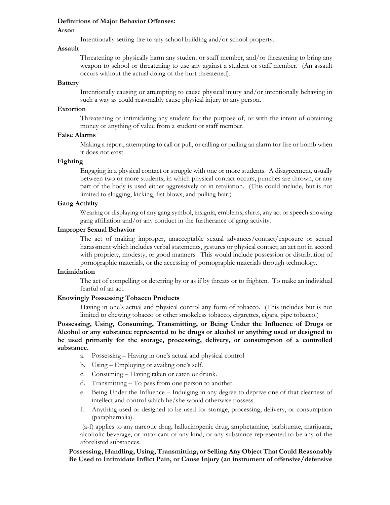#### **Definitions of Major Behavior Offenses:**

#### **Arson**

Intentionally setting fire to any school building and/or school property.

#### **Assault**

Threatening to physically harm any student or staff member, and/or threatening to bring any weapon to school or threatening to use any against a student or staff member. (An assault occurs without the actual doing of the hurt threatened).

#### **Battery**

Intentionally causing or attempting to cause physical injury and/or intentionally behaving in such a way as could reasonably cause physical injury to any person.

# **Extortion**

Threatening or intimidating any student for the purpose of, or with the intent of obtaining money or anything of value from a student or staff member.

#### **False Alarms**

Making a report, attempting to call or pull, or calling or pulling an alarm for fire or bomb when it does not exist.

# **Fighting**

Engaging in a physical contact or struggle with one or more students. A disagreement, usually between two or more students, in which physical contact occurs, punches are thrown, or any part of the body is used either aggressively or in retaliation. (This could include, but is not limited to slugging, kicking, fist blows, and pulling hair.)

# **Gang Activity**

Wearing or displaying of any gang symbol, insignia, emblems, shirts, any act or speech showing gang affiliation and/or any conduct in the furtherance of gang activity.

# **Improper Sexual Behavior**

The act of making improper, unacceptable sexual advances/contact/exposure or sexual harassment which includes verbal statements, gestures or physical contact; an act not in accord with propriety, modesty, or good manners. This would include possession or distribution of pornographic materials, or the accessing of pornographic materials through technology.

#### **Intimidation**

The act of compelling or deterring by or as if by threats or to frighten. To make an individual fearful of an act.

#### **Knowingly Possessing Tobacco Products**

Having in one's actual and physical control any form of tobacco. (This includes but is not limited to chewing tobacco or other smokeless tobacco, cigarettes, cigars, pipe tobacco.)

**Possessing, Using, Consuming, Transmitting, or Being Under the Influence of Drugs or Alcohol or any substance represented to be drugs or alcohol or anything used or designed to be used primarily for the storage, processing, delivery, or consumption of a controlled substance.**

a. Possessing – Having in one's actual and physical control

- b. Using Employing or availing one's self.
- c. Consuming Having taken or eaten or drunk.
- d. Transmitting To pass from one person to another.
- e. Being Under the Influence Indulging in any degree to deprive one of that clearness of intellect and control which he/she would otherwise possess.
- f. Anything used or designed to be used for storage, processing, delivery, or consumption (paraphernalia).

(a-f) applies to any narcotic drug, hallucinogenic drug, amphetamine, barbiturate, marijuana, alcoholic beverage, or intoxicant of any kind, or any substance represented to be any of the aforelisted substances.

#### **Possessing, Handling, Using, Transmitting, or Selling Any Object That Could Reasonably Be Used to Intimidate Inflict Pain, or Cause Injury (an instrument of offensive/defensive**